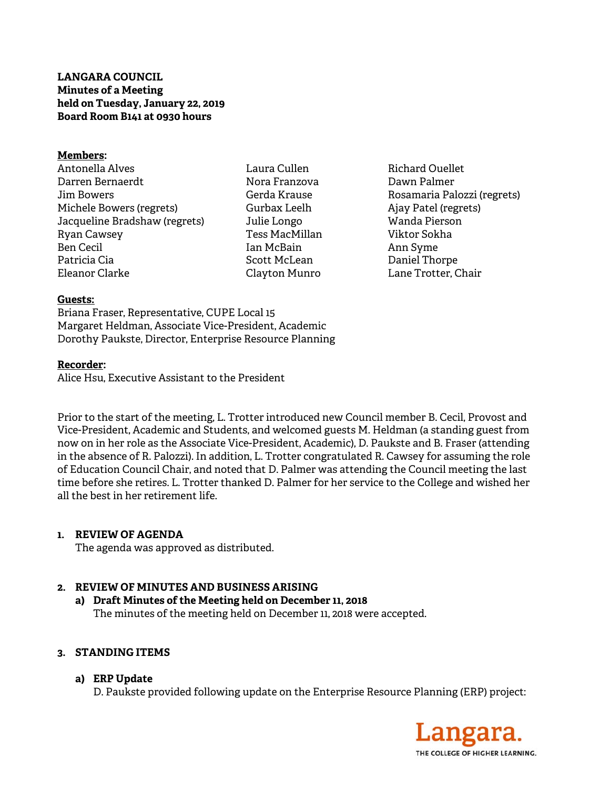# **LANGARA COUNCIL Minutes of a Meeting held on Tuesday, January 22, 2019 Board Room B141 at 0930 hours**

#### **Members:**

- Antonella Alves Darren Bernaerdt Jim Bowers Michele Bowers (regrets) Jacqueline Bradshaw (regrets) Ryan Cawsey Ben Cecil Patricia Cia Eleanor Clarke
- Laura Cullen Nora Franzova Gerda Krause Gurbax Leelh Julie Longo Tess MacMillan Ian McBain Scott McLean Clayton Munro
- Richard Ouellet Dawn Palmer Rosamaria Palozzi (regrets) Ajay Patel (regrets) Wanda Pierson Viktor Sokha Ann Syme Daniel Thorpe Lane Trotter, Chair

#### **Guests:**

Briana Fraser, Representative, CUPE Local 15 Margaret Heldman, Associate Vice-President, Academic Dorothy Paukste, Director, Enterprise Resource Planning

#### **Recorder:**

Alice Hsu, Executive Assistant to the President

Prior to the start of the meeting, L. Trotter introduced new Council member B. Cecil, Provost and Vice-President, Academic and Students, and welcomed guests M. Heldman (a standing guest from now on in her role as the Associate Vice-President, Academic), D. Paukste and B. Fraser (attending in the absence of R. Palozzi). In addition, L. Trotter congratulated R. Cawsey for assuming the role of Education Council Chair, and noted that D. Palmer was attending the Council meeting the last time before she retires. L. Trotter thanked D. Palmer for her service to the College and wished her all the best in her retirement life.

## **1. REVIEW OF AGENDA**

The agenda was approved as distributed.

## **2. REVIEW OF MINUTES AND BUSINESS ARISING**

**a) Draft Minutes of the Meeting held on December 11, 2018**  The minutes of the meeting held on December 11, 2018 were accepted.

## **3. STANDING ITEMS**

## **a) ERP Update**

D. Paukste provided following update on the Enterprise Resource Planning (ERP) project:

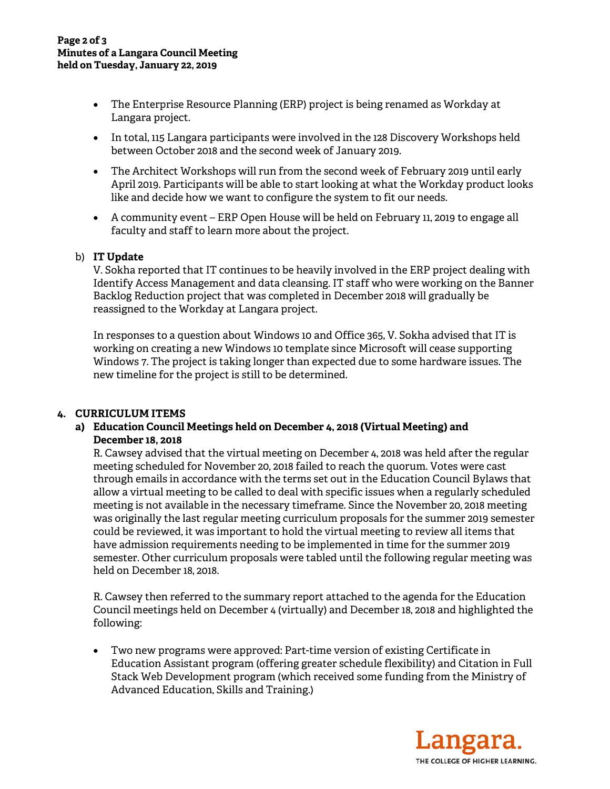- The Enterprise Resource Planning (ERP) project is being renamed as Workday at Langara project.
- In total, 115 Langara participants were involved in the 128 Discovery Workshops held between October 2018 and the second week of January 2019.
- The Architect Workshops will run from the second week of February 2019 until early April 2019. Participants will be able to start looking at what the Workday product looks like and decide how we want to configure the system to fit our needs.
- A community event ERP Open House will be held on February 11, 2019 to engage all faculty and staff to learn more about the project.

## b) **IT Update**

V. Sokha reported that IT continues to be heavily involved in the ERP project dealing with Identify Access Management and data cleansing. IT staff who were working on the Banner Backlog Reduction project that was completed in December 2018 will gradually be reassigned to the Workday at Langara project.

In responses to a question about Windows 10 and Office 365, V. Sokha advised that IT is working on creating a new Windows 10 template since Microsoft will cease supporting Windows 7. The project is taking longer than expected due to some hardware issues. The new timeline for the project is still to be determined.

## **4. CURRICULUM ITEMS**

**a) Education Council Meetings held on December 4, 2018 (Virtual Meeting) and December 18, 2018** 

R. Cawsey advised that the virtual meeting on December 4, 2018 was held after the regular meeting scheduled for November 20, 2018 failed to reach the quorum. Votes were cast through emails in accordance with the terms set out in the Education Council Bylaws that allow a virtual meeting to be called to deal with specific issues when a regularly scheduled meeting is not available in the necessary timeframe. Since the November 20, 2018 meeting was originally the last regular meeting curriculum proposals for the summer 2019 semester could be reviewed, it was important to hold the virtual meeting to review all items that have admission requirements needing to be implemented in time for the summer 2019 semester. Other curriculum proposals were tabled until the following regular meeting was held on December 18, 2018.

R. Cawsey then referred to the summary report attached to the agenda for the Education Council meetings held on December 4 (virtually) and December 18, 2018 and highlighted the following:

 Two new programs were approved: Part-time version of existing Certificate in Education Assistant program (offering greater schedule flexibility) and Citation in Full Stack Web Development program (which received some funding from the Ministry of Advanced Education, Skills and Training.)